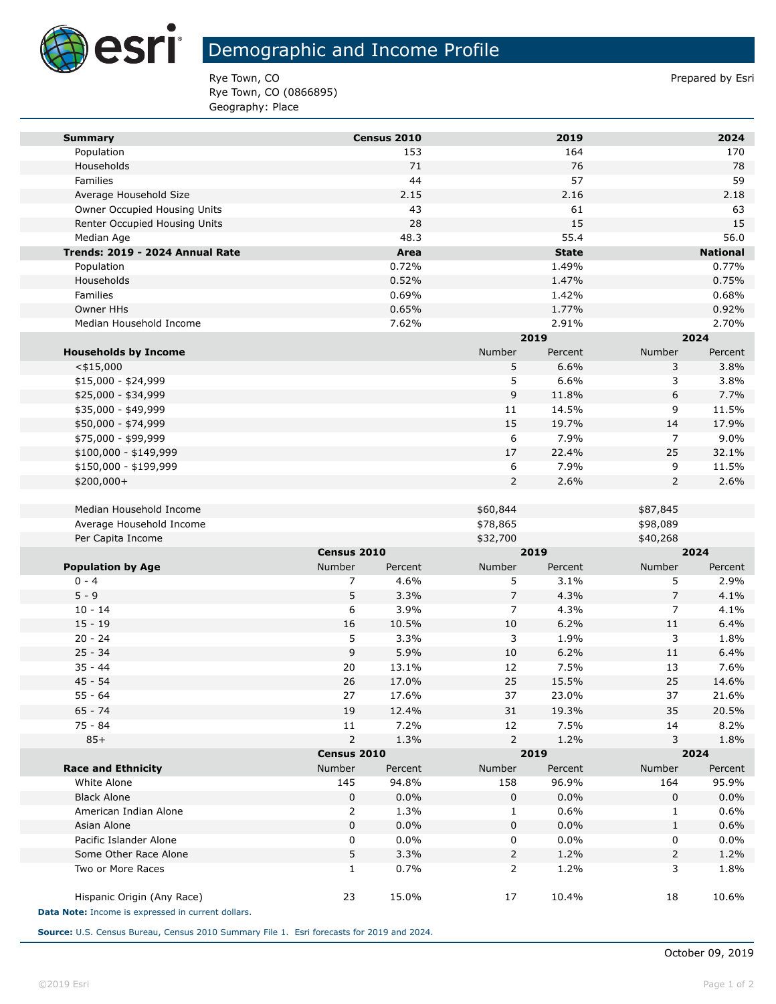

**Tara** 

# Demographic and Income Profile

Rye Town, CO **Prepared by Esri** Prepared by Esri Rye Town, CO (0866895) Geography: Place

| <b>Summary</b>                                                                   |             | Census 2010 |                | 2019          |                | 2024            |  |
|----------------------------------------------------------------------------------|-------------|-------------|----------------|---------------|----------------|-----------------|--|
| Population                                                                       |             | 153         |                | 164           |                | 170             |  |
| Households                                                                       |             | 71          |                | 76            |                | 78              |  |
| Families                                                                         |             | 44          |                | 57            |                | 59              |  |
| Average Household Size                                                           |             | 2.15        |                | 2.16          |                | 2.18            |  |
| Owner Occupied Housing Units                                                     |             | 43          |                | 61            |                | 63              |  |
| Renter Occupied Housing Units                                                    |             | 28          |                | 15            |                | 15              |  |
| Median Age                                                                       |             | 48.3        |                | 55.4          |                | 56.0            |  |
| Trends: 2019 - 2024 Annual Rate                                                  |             | Area        |                | <b>State</b>  |                | <b>National</b> |  |
| Population                                                                       |             | 0.72%       |                | 1.49%         |                | 0.77%           |  |
| Households                                                                       |             | 0.52%       |                | 1.47%         |                | 0.75%           |  |
| Families                                                                         |             | 0.69%       |                | 1.42%         |                | 0.68%           |  |
| Owner HHs                                                                        |             | 0.65%       |                | 1.77%         |                | 0.92%           |  |
| Median Household Income                                                          |             | 7.62%       |                | 2.91%         |                | 2.70%           |  |
|                                                                                  |             |             |                | 2019          |                | 2024            |  |
| <b>Households by Income</b>                                                      |             |             | Number         | Percent       | Number         | Percent         |  |
| $<$ \$15,000                                                                     |             |             | 5              | 6.6%          | 3              | 3.8%            |  |
| \$15,000 - \$24,999                                                              |             |             | 5              | 6.6%          | 3              | 3.8%            |  |
| \$25,000 - \$34,999                                                              |             |             | 9              | 11.8%         | 6              | 7.7%            |  |
| \$35,000 - \$49,999                                                              |             |             | 11<br>15       | 14.5%         | 9<br>14        | 11.5%<br>17.9%  |  |
| \$50,000 - \$74,999<br>\$75,000 - \$99,999                                       |             |             | 6              | 19.7%<br>7.9% | 7              | 9.0%            |  |
| \$100,000 - \$149,999                                                            |             |             | 17             | 22.4%         | 25             | 32.1%           |  |
| \$150,000 - \$199,999                                                            |             |             | 6              | 7.9%          | 9              | 11.5%           |  |
| \$200,000+                                                                       |             |             | $\overline{2}$ | 2.6%          | 2              | 2.6%            |  |
|                                                                                  |             |             |                |               |                |                 |  |
| Median Household Income                                                          |             |             | \$60,844       |               | \$87,845       |                 |  |
| Average Household Income                                                         |             |             | \$78,865       |               | \$98,089       |                 |  |
| Per Capita Income                                                                |             |             | \$32,700       |               | \$40,268       |                 |  |
|                                                                                  | Census 2010 |             | 2019           |               | 2024           |                 |  |
| <b>Population by Age</b>                                                         | Number      | Percent     | Number         | Percent       | Number         | Percent         |  |
| $0 - 4$                                                                          | 7           | 4.6%        | 5              | 3.1%          | 5              | 2.9%            |  |
| $5 - 9$                                                                          | 5           | 3.3%        | $\overline{7}$ | 4.3%          | $\overline{7}$ | 4.1%            |  |
| $10 - 14$                                                                        | 6           | 3.9%        | 7              | 4.3%          | 7              | 4.1%            |  |
| $15 - 19$                                                                        | 16          | 10.5%       | 10             | 6.2%          | 11             | 6.4%            |  |
| $20 - 24$                                                                        | 5           | 3.3%        | 3              | 1.9%          | 3              | 1.8%            |  |
| $25 - 34$                                                                        | 9           | 5.9%        | 10             | 6.2%          | 11             | 6.4%            |  |
| $35 - 44$                                                                        | 20          | 13.1%       | 12             | 7.5%          | 13             | 7.6%            |  |
| $45 - 54$                                                                        | 26          | 17.0%       | 25             | 15.5%         | 25             | 14.6%           |  |
| $55 - 64$                                                                        | 27          | 17.6%       | 37             | 23.0%         | 37             | 21.6%           |  |
| 65 - 74                                                                          | 19          | 12.4%       | 31             | 19.3%         | 35             | 20.5%           |  |
| 75 - 84                                                                          | 11          | 7.2%        | 12             | 7.5%          | 14             | 8.2%            |  |
| $85+$                                                                            | 2           | 1.3%        | 2              | 1.2%          | 3              | 1.8%            |  |
|                                                                                  | Census 2010 |             |                | 2019          |                | 2024            |  |
| <b>Race and Ethnicity</b>                                                        | Number      | Percent     | Number         | Percent       | Number         | Percent         |  |
| White Alone                                                                      | 145         | 94.8%       | 158            | 96.9%         | 164            | 95.9%           |  |
| <b>Black Alone</b>                                                               | 0           | 0.0%        | 0              | 0.0%          | 0              | 0.0%            |  |
| American Indian Alone                                                            | 2           | 1.3%        | 1              | 0.6%          | 1              | 0.6%            |  |
| Asian Alone                                                                      | 0           | 0.0%        | 0              | 0.0%          | $\mathbf{1}$   | 0.6%            |  |
| Pacific Islander Alone                                                           | 0           | 0.0%        | 0              | 0.0%          | 0              | 0.0%            |  |
| Some Other Race Alone                                                            | 5           | 3.3%        | $\overline{2}$ | 1.2%          | 2              | 1.2%            |  |
| Two or More Races                                                                | 1           | 0.7%        | 2              | 1.2%          | 3              | 1.8%            |  |
| Hispanic Origin (Any Race)<br>Data Note: Income is expressed in current dollars. | 23          | 15.0%       | 17             | 10.4%         | 18             | 10.6%           |  |

**Source:** U.S. Census Bureau, Census 2010 Summary File 1. Esri forecasts for 2019 and 2024.